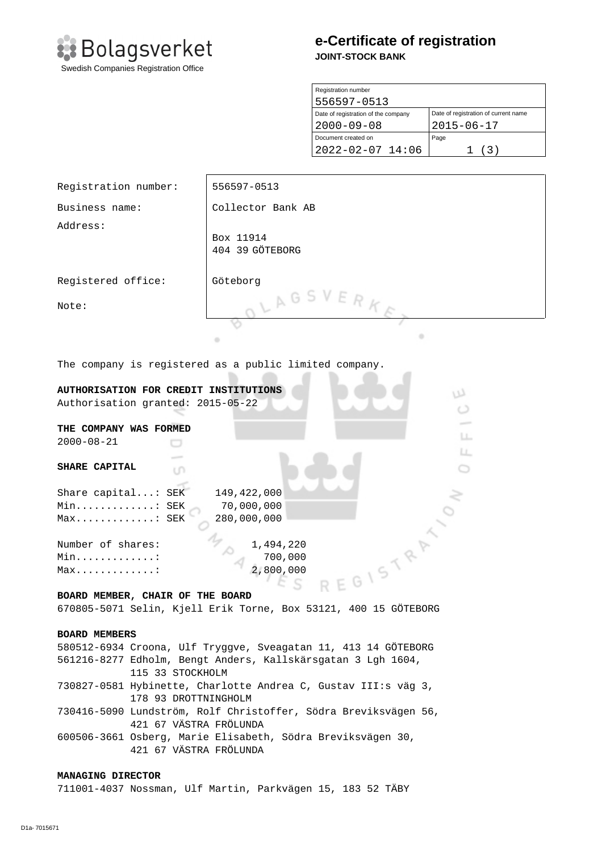

# **e-Certificate of registration JOINT-STOCK BANK**

| Registration number                 |                                      |
|-------------------------------------|--------------------------------------|
| 556597-0513                         |                                      |
| Date of registration of the company | Date of registration of current name |
| $2000 - 09 - 08$                    | $2015 - 06 - 17$                     |
| Document created on                 | Page                                 |
| $2022 - 02 - 07$ 14:06              | (3)                                  |

| Registration number:                                                                                | 556597-0513                  |  |
|-----------------------------------------------------------------------------------------------------|------------------------------|--|
| Business name:                                                                                      | Collector Bank AB            |  |
| Address:                                                                                            |                              |  |
|                                                                                                     | Box 11914<br>404 39 GÖTEBORG |  |
| Registered office:                                                                                  | Göteborg                     |  |
| Note:                                                                                               | LAGSVERKE                    |  |
|                                                                                                     |                              |  |
|                                                                                                     | ٠<br>٠                       |  |
| The company is registered as a public limited company.                                              |                              |  |
| AUTHORISATION FOR CREDIT INSTITUTIONS                                                               |                              |  |
| Authorisation granted: 2015-05-22                                                                   | w                            |  |
|                                                                                                     | O                            |  |
| THE COMPANY WAS FORMED                                                                              |                              |  |
| LL.<br>$2000 - 08 - 21$                                                                             |                              |  |
|                                                                                                     | LL.                          |  |
| SHARE CAPITAL<br>ιn                                                                                 |                              |  |
| Share capital: SEK<br>149,422,000                                                                   |                              |  |
| 70,000,000<br>Min: SEK                                                                              |                              |  |
| 280,000,000<br>$Max$ SEK                                                                            |                              |  |
|                                                                                                     |                              |  |
| Number of shares:                                                                                   | 1,494,220                    |  |
| Min. :                                                                                              | 700,000                      |  |
| Max                                                                                                 | 2,800,000                    |  |
| REGISTRAT                                                                                           |                              |  |
| BOARD MEMBER, CHAIR OF THE BOARD<br>670805-5071 Selin, Kjell Erik Torne, Box 53121, 400 15 GÖTEBORG |                              |  |
|                                                                                                     |                              |  |
| <b>BOARD MEMBERS</b>                                                                                |                              |  |
| 580512-6934 Croona, Ulf Tryggve, Sveagatan 11, 413 14 GÖTEBORG                                      |                              |  |
| 561216-8277 Edholm, Bengt Anders, Kallskärsgatan 3 Lgh 1604,                                        |                              |  |
| 115 33 STOCKHOLM                                                                                    |                              |  |

730827-0581 Hybinette, Charlotte Andrea C, Gustav III:s väg 3, 178 93 DROTTNINGHOLM

730416-5090 Lundström, Rolf Christoffer, Södra Breviksvägen 56, 421 67 VÄSTRA FRÖLUNDA

600506-3661 Osberg, Marie Elisabeth, Södra Breviksvägen 30, 421 67 VÄSTRA FRÖLUNDA

## **MANAGING DIRECTOR**

711001-4037 Nossman, Ulf Martin, Parkvägen 15, 183 52 TÄBY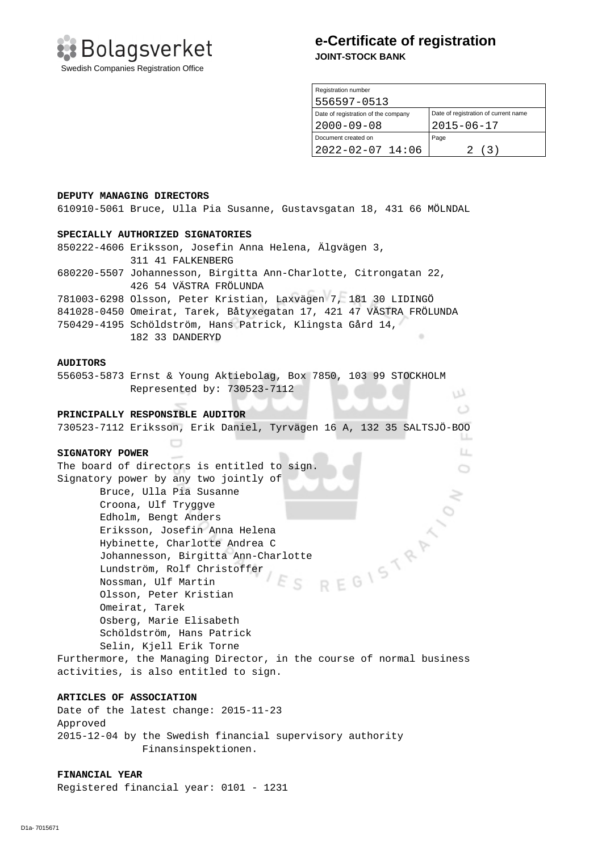

## **e-Certificate of registration JOINT-STOCK BANK**

| Registration number                 |                                      |
|-------------------------------------|--------------------------------------|
| 556597-0513                         |                                      |
| Date of registration of the company | Date of registration of current name |
| $2000 - 09 - 08$                    | $2015 - 06 - 17$                     |
| Document created on                 | Page                                 |
| $2022 - 02 - 07$ 14:06              | (3)                                  |

w  $\circ$ 

> LL.  $\circ$

#### **DEPUTY MANAGING DIRECTORS**

610910-5061 Bruce, Ulla Pia Susanne, Gustavsgatan 18, 431 66 MÖLNDAL

#### **SPECIALLY AUTHORIZED SIGNATORIES**

850222-4606 Eriksson, Josefin Anna Helena, Älgvägen 3, 311 41 FALKENBERG 680220-5507 Johannesson, Birgitta Ann-Charlotte, Citrongatan 22, 426 54 VÄSTRA FRÖLUNDA 781003-6298 Olsson, Peter Kristian, Laxvägen 7, 181 30 LIDINGÖ 841028-0450 Omeirat, Tarek, Båtyxegatan 17, 421 47 VÄSTRA FRÖLUNDA

750429-4195 Schöldström, Hans Patrick, Klingsta Gård 14, 182 33 DANDERYD

#### **AUDITORS**

556053-5873 Ernst & Young Aktiebolag, Box 7850, 103 99 STOCKHOLM Represented by: 730523-7112

#### **PRINCIPALLY RESPONSIBLE AUDITOR**

 $\qquad \qquad \Box$ 

730523-7112 Eriksson, Erik Daniel, Tyrvägen 16 A, 132 35 SALTSJÖ-BOO

#### **SIGNATORY POWER**

The board of directors is entitled to sign. Signatory power by any two jointly of Bruce, Ulla Pia Susanne Croona, Ulf Tryggve Solar Charlotte Andrea C<br>Johannesson, Birgitta Ann-Charlotte<br>Lundström, Rolf Christoffer<br>Nossman, Ulf Martin<br>Olsson, Peter Kristiar<br>Omeirat Edholm, Bengt Anders Eriksson, Josefin Anna Helena Hybinette, Charlotte Andrea C Lundström, Rolf Christoffer Nossman, Ulf Martin  $\subset$  Olsson, Peter Kristian Omeirat, Tarek Osberg, Marie Elisabeth Schöldström, Hans Patrick Selin, Kjell Erik Torne Furthermore, the Managing Director, in the course of normal business

activities, is also entitled to sign.

## **ARTICLES OF ASSOCIATION**

Date of the latest change: 2015-11-23 Approved 2015-12-04 by the Swedish financial supervisory authority Finansinspektionen.

#### **FINANCIAL YEAR**

Registered financial year: 0101 - 1231